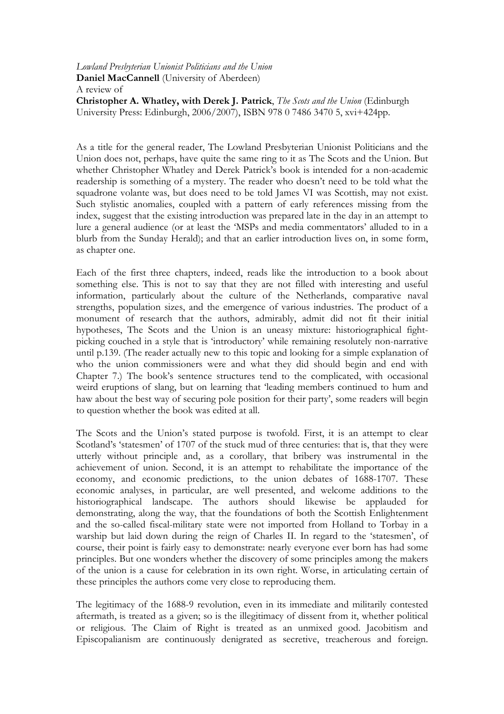## Lowland Presbyterian Unionist Politicians and the Union Daniel MacCannell (University of Aberdeen) A review of Christopher A. Whatley, with Derek J. Patrick, The Scots and the Union (Edinburgh University Press: Edinburgh, 2006/2007), ISBN 978 0 7486 3470 5, xvi+424pp.

As a title for the general reader, The Lowland Presbyterian Unionist Politicians and the Union does not, perhaps, have quite the same ring to it as The Scots and the Union. But whether Christopher Whatley and Derek Patrick's book is intended for a non-academic readership is something of a mystery. The reader who doesn't need to be told what the squadrone volante was, but does need to be told James VI was Scottish, may not exist. Such stylistic anomalies, coupled with a pattern of early references missing from the index, suggest that the existing introduction was prepared late in the day in an attempt to lure a general audience (or at least the 'MSPs and media commentators' alluded to in a blurb from the Sunday Herald); and that an earlier introduction lives on, in some form, as chapter one.

Each of the first three chapters, indeed, reads like the introduction to a book about something else. This is not to say that they are not filled with interesting and useful information, particularly about the culture of the Netherlands, comparative naval strengths, population sizes, and the emergence of various industries. The product of a monument of research that the authors, admirably, admit did not fit their initial hypotheses, The Scots and the Union is an uneasy mixture: historiographical fightpicking couched in a style that is 'introductory' while remaining resolutely non-narrative until p.139. (The reader actually new to this topic and looking for a simple explanation of who the union commissioners were and what they did should begin and end with Chapter 7.) The book's sentence structures tend to the complicated, with occasional weird eruptions of slang, but on learning that 'leading members continued to hum and haw about the best way of securing pole position for their party', some readers will begin to question whether the book was edited at all.

The Scots and the Union's stated purpose is twofold. First, it is an attempt to clear Scotland's 'statesmen' of 1707 of the stuck mud of three centuries: that is, that they were utterly without principle and, as a corollary, that bribery was instrumental in the achievement of union. Second, it is an attempt to rehabilitate the importance of the economy, and economic predictions, to the union debates of 1688-1707. These economic analyses, in particular, are well presented, and welcome additions to the historiographical landscape. The authors should likewise be applauded for demonstrating, along the way, that the foundations of both the Scottish Enlightenment and the so-called fiscal-military state were not imported from Holland to Torbay in a warship but laid down during the reign of Charles II. In regard to the 'statesmen', of course, their point is fairly easy to demonstrate: nearly everyone ever born has had some principles. But one wonders whether the discovery of some principles among the makers of the union is a cause for celebration in its own right. Worse, in articulating certain of these principles the authors come very close to reproducing them.

The legitimacy of the 1688-9 revolution, even in its immediate and militarily contested aftermath, is treated as a given; so is the illegitimacy of dissent from it, whether political or religious. The Claim of Right is treated as an unmixed good. Jacobitism and Episcopalianism are continuously denigrated as secretive, treacherous and foreign.